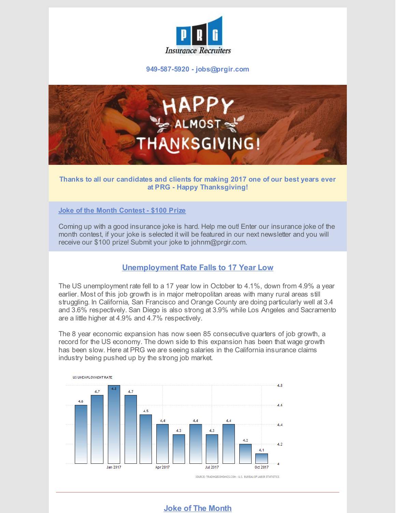

**949-587-5920 - jobs@prgir.com**



## **Thanks to all our candidates and clients for making 2017 one of our best years ever at PRG - Happy Thanksgiving!**

**Joke of the Month Contest - \$100 Prize**

Coming up with a good insurance joke is hard. Help me out! Enter our insurance joke of the month contest, if your joke is selected it will be featured in our next newsletter and you will receive our \$100 prize! Submit your joke to johnm@prgir.com.

## **Unemployment Rate Falls to 17 Year Low**

The US unemployment rate fell to a 17 year low in October to 4.1%, down from 4.9% a year earlier. Most of this job growth is in major metropolitan areas with many rural areas still struggling. In California, San Francisco and Orange County are doing particularly well at 3.4 and 3.6% respectively. San Diego is also strong at 3.9% while Los Angeles and Sacramento are a little higher at 4.9% and 4.7% respectively.

The 8 year economic expansion has now seen 85 consecutive quarters of job growth, a record for the US economy. The down side to this expansion has been that wage growth has been slow. Here at PRG we are seeing salaries in the California insurance claims industry being pushed up by the strong job market.



## **Joke of The Month**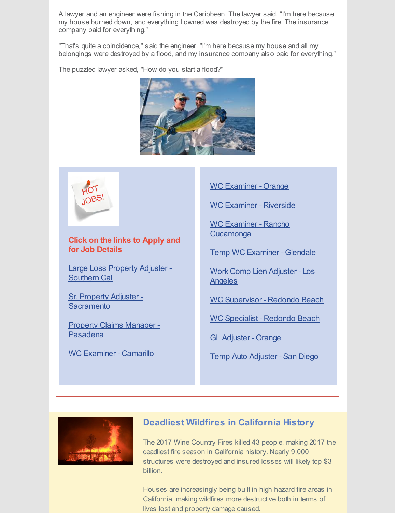A lawyer and an engineer were fishing in the Caribbean. The lawyer said, "I'm here because my house burned down, and everything I owned was destroyed by the fire. The insurance company paid for everything."

"That's quite a coincidence," said the engineer. "I'm here because my house and all my belongings were destroyed by a flood, and my insurance company also paid for everything."

The puzzled lawyer asked, "How do you start a flood?"





**Click on the links to Apply and for Job Details**

Large Loss Property Adjuster - [Southern](http://prgir.com/direct-hire-large-loss-property-adjuster/) Cal

Sr. Property Adjuster -**[Sacramento](http://prgir.com/sr-property-adjuster-sacramento/)** 

Property Claims Manager - [Pasadena](http://prgir.com/property-claims-manager/)

WC [Examiner](http://prgir.com/wc-examiner-camarillo/) - Camarillo

WC [Examiner](http://prgir.com/wc-examiner-orange/) - Orange

WC [Examiner](http://prgir.com/wc-examiner-riverside/) - Riverside

WC Examiner - Rancho **[Cucamonga](http://prgir.com/wc-examiner-rancho-cucamonga/)** 

Temp WC [Examiner](http://prgir.com/temp-wc-examiner-glendale/) - Glendale

Work Comp Lien [Adjuster](http://prgir.com/work-comp-lien-adjuster-los-angeles/) - Los **Angeles** 

WC [Supervisor](http://prgir.com/wc-supervisor-for-self-insured-co-redondo-beach/) - Redondo Beach

WC [Specialist](http://prgir.com/wc-specialist-redondo-beach/) - Redondo Beach

GL [Adjuster](http://prgir.com/gl-adjuster-orange/) - Orange

Temp Auto [Adjuster](http://prgir.com/temp-auto-bi-adjuster/) - San Diego



## **Deadliest Wildfires in California History**

The 2017 Wine Country Fires killed 43 people, making 2017 the deadliest fire season in California history. Nearly 9,000 structures were destroyed and insured losses will likely top \$3 billion.

Houses are increasingly being built in high hazard fire areas in California, making wildfires more destructive both in terms of lives lost and property damage caused.